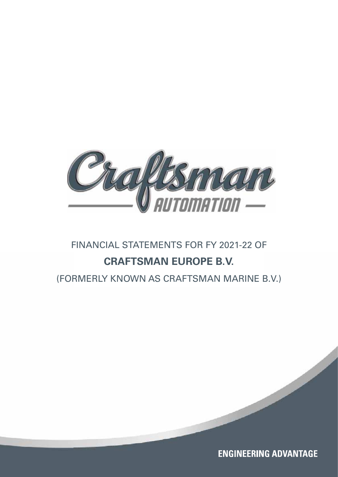

# FINANCIAL STATEMENTS FOR FY 2021-22 OF **CRAFTSMAN EUROPE B.V.**

(FORMERLY KNOWN AS CRAFTSMAN MARINE B.V.)

**ENGINEERING ADVANTAGE**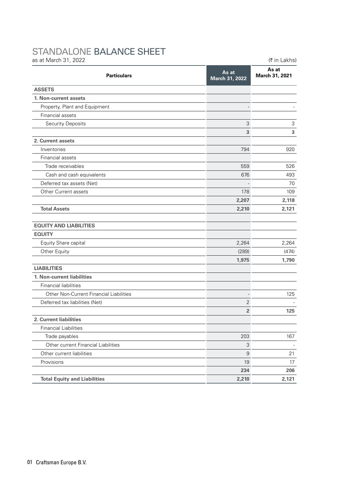## STANDALONE BALANCE SHEET

| as at March 31, 2022                    |                         | (₹ in Lakhs)            |  |
|-----------------------------------------|-------------------------|-------------------------|--|
| <b>Particulars</b>                      | As at<br>March 31, 2022 | As at<br>March 31, 2021 |  |
| <b>ASSETS</b>                           |                         |                         |  |
| 1. Non-current assets                   |                         |                         |  |
| Property, Plant and Equipment           |                         |                         |  |
| Financial assets                        |                         |                         |  |
| <b>Security Deposits</b>                | 3                       | 3                       |  |
|                                         | 3                       | 3                       |  |
| 2. Current assets                       |                         |                         |  |
| Inventories                             | 794                     | 920                     |  |
| Financial assets                        |                         |                         |  |
| Trade receivables                       | 559                     | 526                     |  |
| Cash and cash equivalents               | 676                     | 493                     |  |
| Deferred tax assets (Net)               |                         | 70                      |  |
| Other Current assets                    | 178                     | 109                     |  |
|                                         | 2,207                   | 2,118                   |  |
| <b>Total Assets</b>                     | 2,210                   | 2,121                   |  |
| <b>EQUITY AND LIABILITIES</b>           |                         |                         |  |
| <b>EQUITY</b>                           |                         |                         |  |
| Equity Share capital                    | 2,264                   | 2,264                   |  |
| Other Equity                            | (289)                   | (474)                   |  |
|                                         | 1,975                   | 1,790                   |  |
| <b>LIABILITIES</b>                      |                         |                         |  |
| 1. Non-current liabilities              |                         |                         |  |
| Financial liabilities                   |                         |                         |  |
| Other Non-Current Financial Liabilities |                         | 125                     |  |
| Deferred tax liabilities (Net)          | 2                       |                         |  |
|                                         | $\overline{\mathbf{2}}$ | 125                     |  |
| 2. Current liabilities                  |                         |                         |  |
| <b>Financial Liabilities</b>            |                         |                         |  |
| Trade payables                          | 203                     | 167                     |  |
| Other current Financial Liabilities     | 3                       |                         |  |
| Other current liabilities               | $\mathsf 9$             | 21                      |  |
| Provisions                              | 19                      | 17                      |  |
|                                         | 234                     | 206                     |  |
| <b>Total Equity and Liabilities</b>     | 2,210                   | 2,121                   |  |
|                                         |                         |                         |  |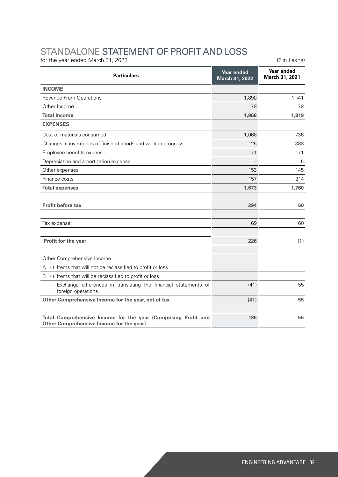## STANDALONE STATEMENT OF PROFIT AND LOSS

for the year ended March 31, 2022  $(3.6 \times 10^{-10})$ 

| <b>Particulars</b>                                                                                         | Year ended<br>March 31, 2022 | Year ended<br>March 31, 2021 |  |
|------------------------------------------------------------------------------------------------------------|------------------------------|------------------------------|--|
| <b>INCOME</b>                                                                                              |                              |                              |  |
| Revenue From Operations                                                                                    | 1,890                        | 1,741                        |  |
| Other Income                                                                                               | 78                           | 78                           |  |
| <b>Total Income</b>                                                                                        | 1,968                        | 1,819                        |  |
| <b>EXPENSES</b>                                                                                            |                              |                              |  |
| Cost of materials consumed                                                                                 | 1,066                        | 736                          |  |
| Changes in inventories of finished goods and work-in-progress                                              | 125                          | 388                          |  |
| Employee benefits expense                                                                                  | 171                          | 171                          |  |
| Depreciation and amortization expense                                                                      |                              | 5                            |  |
| Other expenses                                                                                             | 153                          | 145                          |  |
| Finance costs                                                                                              | 157                          | 314                          |  |
| <b>Total expenses</b>                                                                                      | 1,673                        | 1,760                        |  |
|                                                                                                            |                              |                              |  |
| <b>Profit before tax</b>                                                                                   | 294                          | 60                           |  |
| Tax expense:                                                                                               | 69                           | 60                           |  |
| Profit for the year                                                                                        | 226                          | (1)                          |  |
| Other Comprehensive Income                                                                                 |                              |                              |  |
| (i) Items that will not be reclassified to profit or loss<br>Α                                             |                              |                              |  |
| B<br>(i) Items that will be reclassified to profit or loss                                                 |                              |                              |  |
| - Exchange differences in translating the financial statements of<br>foreign operations                    | (41)                         | 55                           |  |
| Other Comprehensive Income for the year, net of tax                                                        | (41)                         | 55                           |  |
| Total Comprehensive Income for the year (Comprising Profit and<br>Other Comprehensive Income for the year) | 185                          | 55                           |  |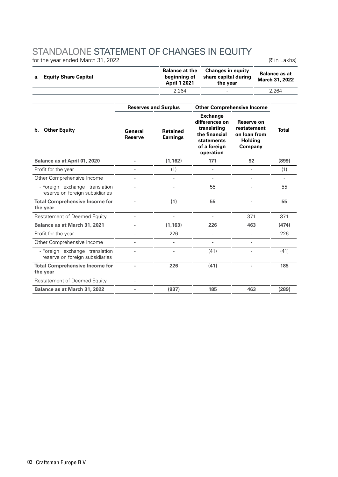#### STANDALONE STATEMENT OF CHANGES IN EQUITY

for the year ended March 31, 2022  $(3.6 \times 10^{-14})$ 

| a. Equity Share Capital | <b>Balance at the</b><br>beginning of<br><b>April 1 2021</b> | <b>Changes in equity</b><br>share capital during<br>the vear | <b>Balance as at</b><br>March 31, 2022 |  |
|-------------------------|--------------------------------------------------------------|--------------------------------------------------------------|----------------------------------------|--|
|                         | 2.264                                                        |                                                              | 2.264                                  |  |

| <b>Reserves and Surplus</b> |                                    | <b>Other Comprehensive Income</b>                                                                            |                                                                        |              |
|-----------------------------|------------------------------------|--------------------------------------------------------------------------------------------------------------|------------------------------------------------------------------------|--------------|
| General<br><b>Reserve</b>   | <b>Retained</b><br><b>Earnings</b> | <b>Exchange</b><br>differences on<br>translating<br>the financial<br>statements<br>of a foreign<br>operation | Reserve on<br>restatement<br>on loan from<br><b>Holding</b><br>Company | <b>Total</b> |
| ä,                          | (1, 162)                           | 171                                                                                                          | 92                                                                     | (899)        |
|                             | (1)                                |                                                                                                              |                                                                        | (1)          |
|                             |                                    |                                                                                                              |                                                                        |              |
|                             |                                    | 55                                                                                                           |                                                                        | 55           |
|                             | (1)                                | 55                                                                                                           |                                                                        | 55           |
|                             |                                    |                                                                                                              | 371                                                                    | 371          |
|                             | (1, 163)                           | 226                                                                                                          | 463                                                                    | (474)        |
|                             | 226                                |                                                                                                              |                                                                        | 226          |
|                             |                                    |                                                                                                              |                                                                        |              |
|                             |                                    | (41)                                                                                                         |                                                                        | (41)         |
|                             | 226                                | (41)                                                                                                         |                                                                        | 185          |
|                             |                                    |                                                                                                              |                                                                        |              |
|                             | (937)                              | 185                                                                                                          | 463                                                                    | (289)        |
|                             |                                    |                                                                                                              |                                                                        |              |